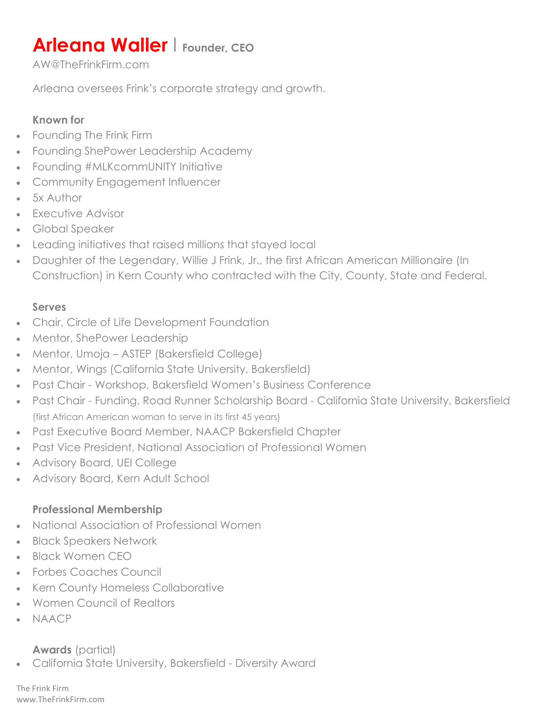# **Arleana Waller | Founder, CEO**

AW@TheFrinkFirm.com

Arleana oversees Frink's corporate strategy and growth.

## Known for

- Founding The Frink Firm
- Founding ShePower Leadership Academy
- Founding #MLKcommUNITY Initiative
- Community Engagement Influencer
- 5x Author
- **•** Executive Advisor
- Global Speaker
- Leading initiatives that raised millions that stayed local
- Daughter of the Legendary, Willie J Frink, Jr., the first African American Millionaire (In Construction) in Kern County who contracted with the City, County, State and Federal.

### Serves

- Chair, Circle of Life Development Foundation
- Mentor, ShePower Leadership
- Mentor, Umoja ASTEP (Bakersfield College)
- Mentor, Wings (California State University, Bakersfield)
- Past Chair Workshop, Bakersfield Women's Business Conference
- Past Chair Funding, Road Runner Scholarship Board California State University, Bakersfield (first African American woman to serve in its first 45 years)
- Past Executive Board Member, NAACP Bakersfield Chapter
- Past Vice President, National Association of Professional Women
- Advisory Board, UEI College
- Advisory Board, Kern Adult School

#### Professional Membership

- National Association of Professional Women
- Black Speakers Network
- Black Women CEO
- Forbes Coaches Council
- Kern County Homeless Collaborative
- Women Council of Realtors
- NAACP

## Awards (partial)

California State University, Bakersfield - Diversity Award

The Frink Firm www.TheFrinkFirm.com